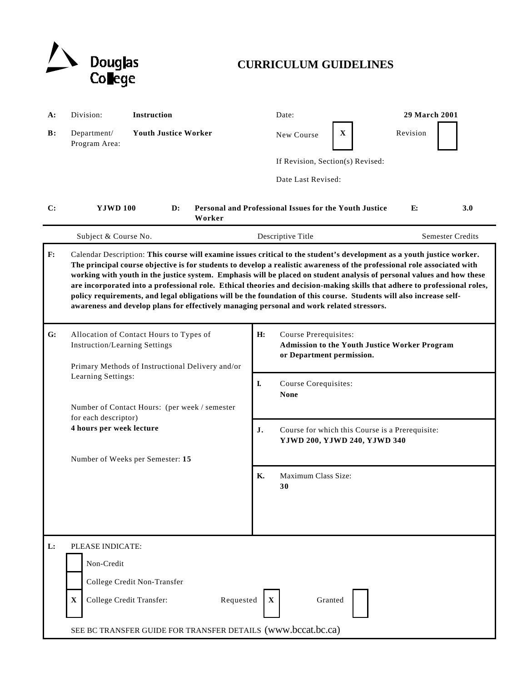

# **CURRICULUM GUIDELINES**

| A:             | Division:                                                                                                                                                                                                                                                                                                                                                                                                                                                                                                                                                                                                                                                                                                                     | Instruction                                                                                                                                                                      | Date:                                                                                                                                          |                                                                                                                                         | <b>29 March 2001</b> |                         |
|----------------|-------------------------------------------------------------------------------------------------------------------------------------------------------------------------------------------------------------------------------------------------------------------------------------------------------------------------------------------------------------------------------------------------------------------------------------------------------------------------------------------------------------------------------------------------------------------------------------------------------------------------------------------------------------------------------------------------------------------------------|----------------------------------------------------------------------------------------------------------------------------------------------------------------------------------|------------------------------------------------------------------------------------------------------------------------------------------------|-----------------------------------------------------------------------------------------------------------------------------------------|----------------------|-------------------------|
| $\mathbf{B}$ : | Department/<br>Program Area:                                                                                                                                                                                                                                                                                                                                                                                                                                                                                                                                                                                                                                                                                                  | <b>Youth Justice Worker</b>                                                                                                                                                      | New Course                                                                                                                                     | $\mathbf X$                                                                                                                             | Revision             |                         |
|                |                                                                                                                                                                                                                                                                                                                                                                                                                                                                                                                                                                                                                                                                                                                               |                                                                                                                                                                                  | If Revision, Section(s) Revised:                                                                                                               |                                                                                                                                         |                      |                         |
|                |                                                                                                                                                                                                                                                                                                                                                                                                                                                                                                                                                                                                                                                                                                                               |                                                                                                                                                                                  | Date Last Revised:                                                                                                                             |                                                                                                                                         |                      |                         |
| $\mathbf{C}$ : | <b>YJWD 100</b>                                                                                                                                                                                                                                                                                                                                                                                                                                                                                                                                                                                                                                                                                                               | $\mathbf{D}$ :<br>Worker                                                                                                                                                         | Personal and Professional Issues for the Youth Justice                                                                                         |                                                                                                                                         | E:                   | 3.0                     |
|                | Subject & Course No.                                                                                                                                                                                                                                                                                                                                                                                                                                                                                                                                                                                                                                                                                                          |                                                                                                                                                                                  | Descriptive Title                                                                                                                              |                                                                                                                                         |                      | <b>Semester Credits</b> |
| F:             | Calendar Description: This course will examine issues critical to the student's development as a youth justice worker.<br>The principal course objective is for students to develop a realistic awareness of the professional role associated with<br>working with youth in the justice system. Emphasis will be placed on student analysis of personal values and how these<br>are incorporated into a professional role. Ethical theories and decision-making skills that adhere to professional roles,<br>policy requirements, and legal obligations will be the foundation of this course. Students will also increase self-<br>awareness and develop plans for effectively managing personal and work related stressors. |                                                                                                                                                                                  |                                                                                                                                                |                                                                                                                                         |                      |                         |
| G:             | <b>Instruction/Learning Settings</b><br>Learning Settings:<br>for each descriptor)<br>4 hours per week lecture                                                                                                                                                                                                                                                                                                                                                                                                                                                                                                                                                                                                                | Allocation of Contact Hours to Types of<br>Primary Methods of Instructional Delivery and/or<br>Number of Contact Hours: (per week / semester<br>Number of Weeks per Semester: 15 | H:<br>Course Prerequisites:<br>or Department permission.<br>I.<br>Course Corequisites:<br><b>None</b><br>J.<br>Maximum Class Size:<br>К.<br>30 | <b>Admission to the Youth Justice Worker Program</b><br>Course for which this Course is a Prerequisite:<br>YJWD 200, YJWD 240, YJWD 340 |                      |                         |
| L:             | PLEASE INDICATE:<br>Non-Credit<br>$\mathbf X$                                                                                                                                                                                                                                                                                                                                                                                                                                                                                                                                                                                                                                                                                 | College Credit Non-Transfer<br>College Credit Transfer:<br>Requested<br>SEE BC TRANSFER GUIDE FOR TRANSFER DETAILS (www.bccat.bc.ca)                                             | $\mathbf{X}$<br>Granted                                                                                                                        |                                                                                                                                         |                      |                         |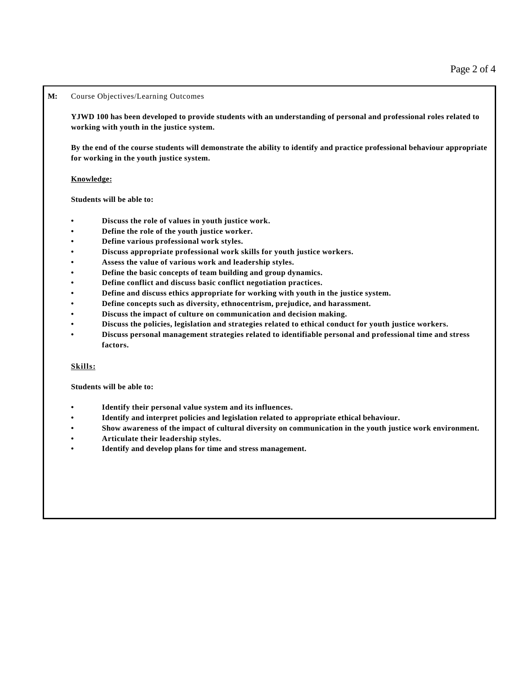# **M:** Course Objectives/Learning Outcomes

**YJWD 100 has been developed to provide students with an understanding of personal and professional roles related to working with youth in the justice system.** 

**By the end of the course students will demonstrate the ability to identify and practice professional behaviour appropriate for working in the youth justice system.**

## **Knowledge:**

**Students will be able to:**

- **• Discuss the role of values in youth justice work.**
- **• Define the role of the youth justice worker.**
- **• Define various professional work styles.**
- **• Discuss appropriate professional work skills for youth justice workers.**
- **• Assess the value of various work and leadership styles.**
- **• Define the basic concepts of team building and group dynamics.**
- **• Define conflict and discuss basic conflict negotiation practices.**
- **• Define and discuss ethics appropriate for working with youth in the justice system.**
- **• Define concepts such as diversity, ethnocentrism, prejudice, and harassment.**
- **• Discuss the impact of culture on communication and decision making.**
- **• Discuss the policies, legislation and strategies related to ethical conduct for youth justice workers.**
- **• Discuss personal management strategies related to identifiable personal and professional time and stress factors.**

### **Skills:**

**Students will be able to:**

- **• Identify their personal value system and its influences.**
- **• Identify and interpret policies and legislation related to appropriate ethical behaviour.**
- **• Show awareness of the impact of cultural diversity on communication in the youth justice work environment.**
- **• Articulate their leadership styles.**
- **• Identify and develop plans for time and stress management.**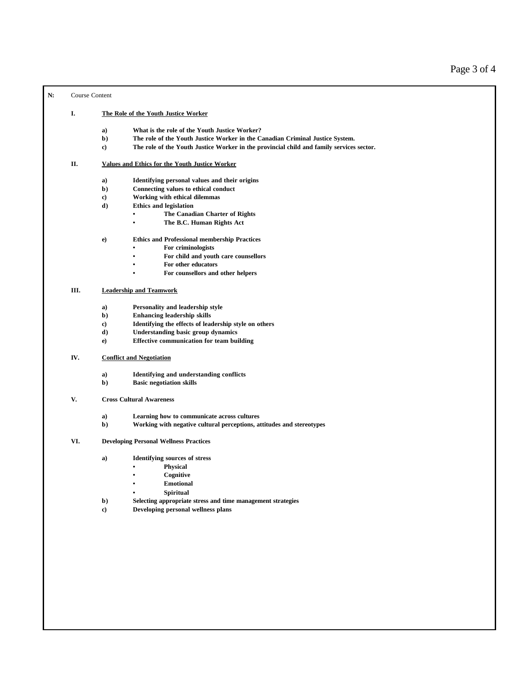**N:** Course Content

#### **I. The Role of the Youth Justice Worker**

- **a) What is the role of the Youth Justice Worker?**
- **b) The role of the Youth Justice Worker in the Canadian Criminal Justice System.**
- **c) The role of the Youth Justice Worker in the provincial child and family services sector.**

## **II. Values and Ethics for the Youth Justice Worker**

- **a) Identifying personal values and their origins**
- **b) Connecting values to ethical conduct**
- **c) Working with ethical dilemmas**
- **d) Ethics and legislation**
	- **• The Canadian Charter of Rights**
	- **• The B.C. Human Rights Act**

#### **e) Ethics and Professional membership Practices**

- **• For criminologists**
- **• For child and youth care counsellors**
- **• For other educators**
- **• For counsellors and other helpers**

# **III. Leadership and Teamwork**

- **a) Personality and leadership style**
- **b) Enhancing leadership skills**
- **c) Identifying the effects of leadership style on others**
- **d) Understanding basic group dynamics**
- **e) Effective communication for team building**

## **IV. Conflict and Negotiation**

- **a) Identifying and understanding conflicts**
- **b) Basic negotiation skills**
- **V. Cross Cultural Awareness**
	- **a) Learning how to communicate across cultures**
	- **b) Working with negative cultural perceptions, attitudes and stereotypes**

## **VI. Developing Personal Wellness Practices**

- **a) Identifying sources of stress**
	- **• Physical**
	- **• Cognitive**
	- **• Emotional**
	- **• Spiritual**
- **b) Selecting appropriate stress and time management strategies**
- **c) Developing personal wellness plans**